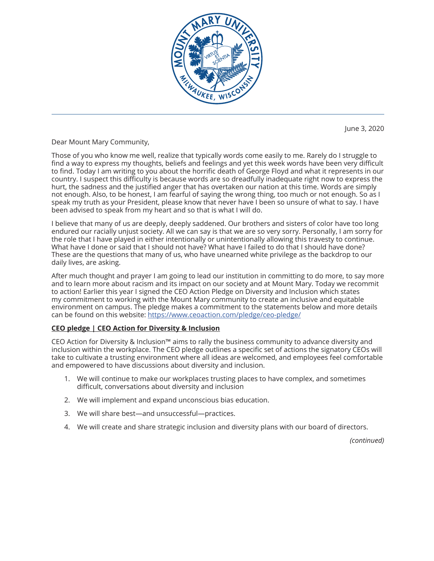

June 3, 2020

Dear Mount Mary Community,

Those of you who know me well, realize that typically words come easily to me. Rarely do I struggle to find a way to express my thoughts, beliefs and feelings and yet this week words have been very difficult to find. Today I am writing to you about the horrific death of George Floyd and what it represents in our country. I suspect this difficulty is because words are so dreadfully inadequate right now to express the hurt, the sadness and the justified anger that has overtaken our nation at this time. Words are simply not enough. Also, to be honest, I am fearful of saying the wrong thing, too much or not enough. So as I speak my truth as your President, please know that never have I been so unsure of what to say. I have been advised to speak from my heart and so that is what I will do.

I believe that many of us are deeply, deeply saddened. Our brothers and sisters of color have too long endured our racially unjust society. All we can say is that we are so very sorry. Personally, I am sorry for the role that I have played in either intentionally or unintentionally allowing this travesty to continue. What have I done or said that I should not have? What have I failed to do that I should have done? These are the questions that many of us, who have unearned white privilege as the backdrop to our daily lives, are asking.

After much thought and prayer I am going to lead our institution in committing to do more, to say more and to learn more about racism and its impact on our society and at Mount Mary. Today we recommit to action! Earlier this year I signed the CEO Action Pledge on Diversity and Inclusion which states my commitment to working with the Mount Mary community to create an inclusive and equitable environment on campus. The pledge makes a commitment to the statements below and more details can be found on this website: https://www.ceoaction.com/pledge/ceo-pledge/

## **CEO pledge | CEO Action for Diversity & Inclusion**

CEO Action for Diversity & Inclusion™ aims to rally the business community to advance diversity and inclusion within the workplace. The CEO pledge outlines a specific set of actions the signatory CEOs will take to cultivate a trusting environment where all ideas are welcomed, and employees feel comfortable and empowered to have discussions about diversity and inclusion.

- 1. We will continue to make our workplaces trusting places to have complex, and sometimes difficult, conversations about diversity and inclusion
- 2. We will implement and expand unconscious bias education.
- 3. We will share best—and unsuccessful—practices.
- 4. We will create and share strategic inclusion and diversity plans with our board of directors.

*(continued)*